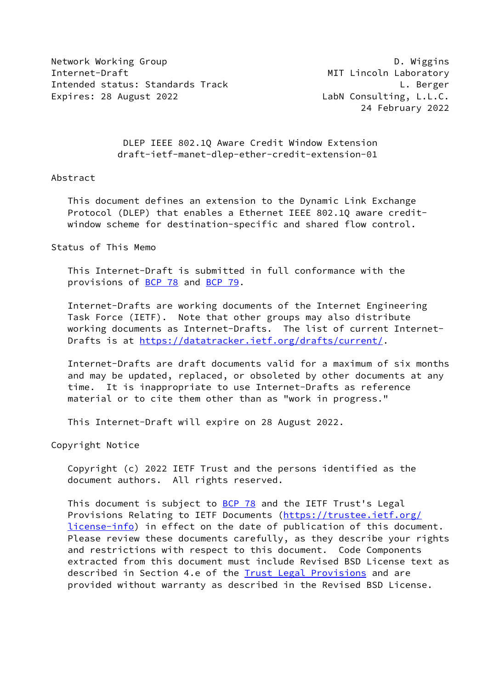Network Working Group **D. Wiggins** Internet-Draft MIT Lincoln Laboratory Intended status: Standards Track L. Berger Expires: 28 August 2022 **LabN Consulting, L.L.C.** 

24 February 2022

 DLEP IEEE 802.1Q Aware Credit Window Extension draft-ietf-manet-dlep-ether-credit-extension-01

#### Abstract

 This document defines an extension to the Dynamic Link Exchange Protocol (DLEP) that enables a Ethernet IEEE 802.1Q aware credit window scheme for destination-specific and shared flow control.

Status of This Memo

 This Internet-Draft is submitted in full conformance with the provisions of [BCP 78](https://datatracker.ietf.org/doc/pdf/bcp78) and [BCP 79](https://datatracker.ietf.org/doc/pdf/bcp79).

 Internet-Drafts are working documents of the Internet Engineering Task Force (IETF). Note that other groups may also distribute working documents as Internet-Drafts. The list of current Internet- Drafts is at<https://datatracker.ietf.org/drafts/current/>.

 Internet-Drafts are draft documents valid for a maximum of six months and may be updated, replaced, or obsoleted by other documents at any time. It is inappropriate to use Internet-Drafts as reference material or to cite them other than as "work in progress."

This Internet-Draft will expire on 28 August 2022.

Copyright Notice

 Copyright (c) 2022 IETF Trust and the persons identified as the document authors. All rights reserved.

This document is subject to **[BCP 78](https://datatracker.ietf.org/doc/pdf/bcp78)** and the IETF Trust's Legal Provisions Relating to IETF Documents ([https://trustee.ietf.org/](https://trustee.ietf.org/license-info) [license-info](https://trustee.ietf.org/license-info)) in effect on the date of publication of this document. Please review these documents carefully, as they describe your rights and restrictions with respect to this document. Code Components extracted from this document must include Revised BSD License text as described in Section 4.e of the [Trust Legal Provisions](https://trustee.ietf.org/license-info) and are provided without warranty as described in the Revised BSD License.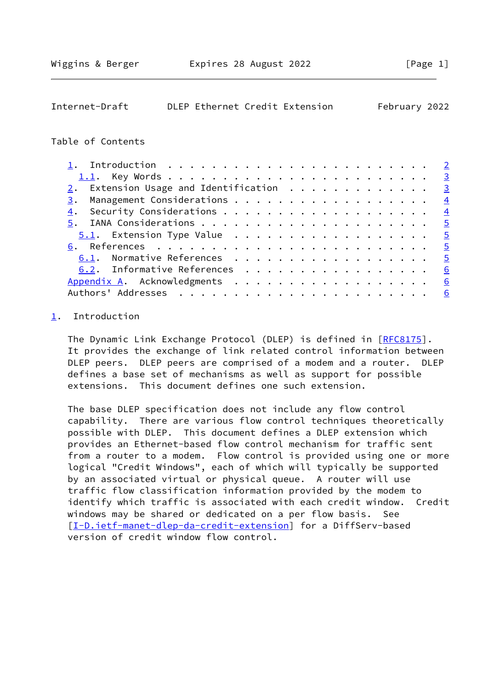<span id="page-1-1"></span>

| Internet-Draft |  | DLEP Ethernet Credit Extension | February 2022 |  |
|----------------|--|--------------------------------|---------------|--|
|                |  |                                |               |  |

### Table of Contents

| 1. Introduction $\ldots \ldots \ldots \ldots \ldots \ldots \ldots \ldots \ldots$ |   |
|----------------------------------------------------------------------------------|---|
|                                                                                  |   |
| $2.$ Extension Usage and Identification $.$                                      |   |
|                                                                                  |   |
|                                                                                  |   |
|                                                                                  |   |
|                                                                                  |   |
|                                                                                  |   |
| 6.1. Normative References 5                                                      |   |
| 6.2. Informative References 6                                                    |   |
| Appendix A. Acknowledgments 6                                                    |   |
|                                                                                  | 6 |
|                                                                                  |   |

# <span id="page-1-0"></span>[1](#page-1-0). Introduction

The Dynamic Link Exchange Protocol (DLEP) is defined in [\[RFC8175](https://datatracker.ietf.org/doc/pdf/rfc8175)]. It provides the exchange of link related control information between DLEP peers. DLEP peers are comprised of a modem and a router. DLEP defines a base set of mechanisms as well as support for possible extensions. This document defines one such extension.

 The base DLEP specification does not include any flow control capability. There are various flow control techniques theoretically possible with DLEP. This document defines a DLEP extension which provides an Ethernet-based flow control mechanism for traffic sent from a router to a modem. Flow control is provided using one or more logical "Credit Windows", each of which will typically be supported by an associated virtual or physical queue. A router will use traffic flow classification information provided by the modem to identify which traffic is associated with each credit window. Credit windows may be shared or dedicated on a per flow basis. See [\[I-D.ietf-manet-dlep-da-credit-extension](#page-6-1)] for a DiffServ-based version of credit window flow control.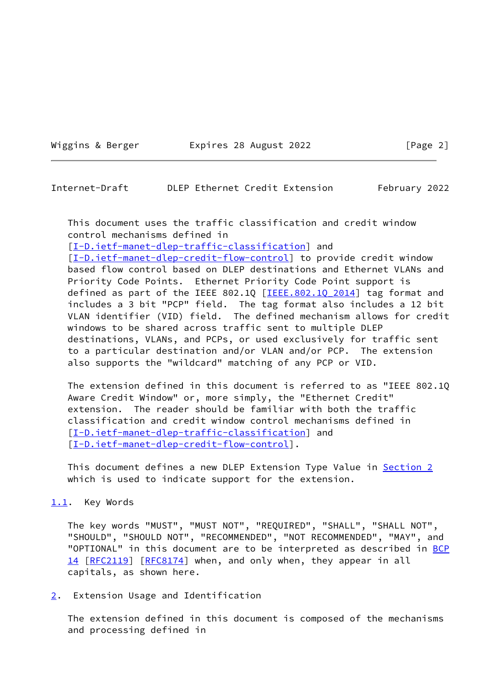Wiggins & Berger **Expires 28 August 2022** [Page 2]

<span id="page-2-1"></span>Internet-Draft DLEP Ethernet Credit Extension February 2022

 This document uses the traffic classification and credit window control mechanisms defined in

[\[I-D.ietf-manet-dlep-traffic-classification\]](#page-5-3) and

[\[I-D.ietf-manet-dlep-credit-flow-control](#page-5-4)] to provide credit window based flow control based on DLEP destinations and Ethernet VLANs and Priority Code Points. Ethernet Priority Code Point support is defined as part of the IEEE 802.1Q [IEEE.802.1Q 2014] tag format and includes a 3 bit "PCP" field. The tag format also includes a 12 bit VLAN identifier (VID) field. The defined mechanism allows for credit windows to be shared across traffic sent to multiple DLEP destinations, VLANs, and PCPs, or used exclusively for traffic sent to a particular destination and/or VLAN and/or PCP. The extension also supports the "wildcard" matching of any PCP or VID.

 The extension defined in this document is referred to as "IEEE 802.1Q Aware Credit Window" or, more simply, the "Ethernet Credit" extension. The reader should be familiar with both the traffic classification and credit window control mechanisms defined in [\[I-D.ietf-manet-dlep-traffic-classification\]](#page-5-3) and [\[I-D.ietf-manet-dlep-credit-flow-control](#page-5-4)].

This document defines a new DLEP Extension Type Value in [Section 2](#page-2-2) which is used to indicate support for the extension.

<span id="page-2-0"></span>[1.1](#page-2-0). Key Words

 The key words "MUST", "MUST NOT", "REQUIRED", "SHALL", "SHALL NOT", "SHOULD", "SHOULD NOT", "RECOMMENDED", "NOT RECOMMENDED", "MAY", and "OPTIONAL" in this document are to be interpreted as described in [BCP](https://datatracker.ietf.org/doc/pdf/bcp14) [14](https://datatracker.ietf.org/doc/pdf/bcp14) [[RFC2119\]](https://datatracker.ietf.org/doc/pdf/rfc2119) [\[RFC8174](https://datatracker.ietf.org/doc/pdf/rfc8174)] when, and only when, they appear in all capitals, as shown here.

<span id="page-2-2"></span>[2](#page-2-2). Extension Usage and Identification

 The extension defined in this document is composed of the mechanisms and processing defined in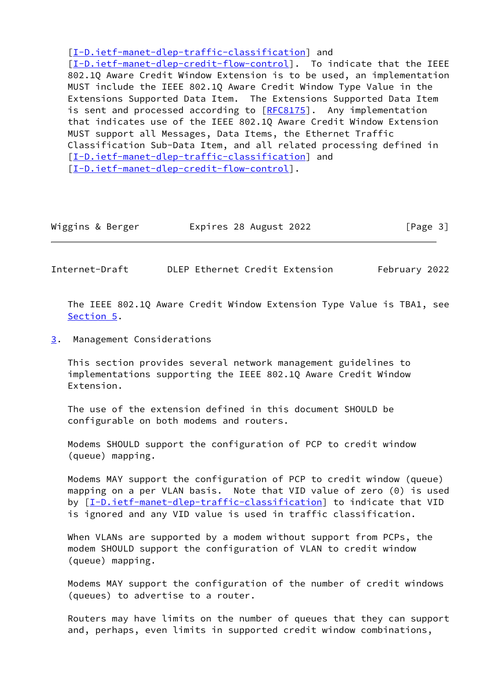[\[I-D.ietf-manet-dlep-traffic-classification\]](#page-5-3) and

[\[I-D.ietf-manet-dlep-credit-flow-control](#page-5-4)]. To indicate that the IEEE 802.1Q Aware Credit Window Extension is to be used, an implementation MUST include the IEEE 802.1Q Aware Credit Window Type Value in the Extensions Supported Data Item. The Extensions Supported Data Item is sent and processed according to [[RFC8175\]](https://datatracker.ietf.org/doc/pdf/rfc8175). Any implementation that indicates use of the IEEE 802.1Q Aware Credit Window Extension MUST support all Messages, Data Items, the Ethernet Traffic Classification Sub-Data Item, and all related processing defined in [\[I-D.ietf-manet-dlep-traffic-classification\]](#page-5-3) and [\[I-D.ietf-manet-dlep-credit-flow-control](#page-5-4)].

| Wiggins & Berger | Expires 28 August 2022 | [Page 3] |
|------------------|------------------------|----------|
|                  |                        |          |

<span id="page-3-1"></span>Internet-Draft DLEP Ethernet Credit Extension February 2022

 The IEEE 802.1Q Aware Credit Window Extension Type Value is TBA1, see [Section 5](#page-4-1).

<span id="page-3-0"></span>[3](#page-3-0). Management Considerations

 This section provides several network management guidelines to implementations supporting the IEEE 802.1Q Aware Credit Window Extension.

 The use of the extension defined in this document SHOULD be configurable on both modems and routers.

 Modems SHOULD support the configuration of PCP to credit window (queue) mapping.

 Modems MAY support the configuration of PCP to credit window (queue) mapping on a per VLAN basis. Note that VID value of zero (0) is used by [[I-D.ietf-manet-dlep-traffic-classification\]](#page-5-3) to indicate that VID is ignored and any VID value is used in traffic classification.

 When VLANs are supported by a modem without support from PCPs, the modem SHOULD support the configuration of VLAN to credit window (queue) mapping.

 Modems MAY support the configuration of the number of credit windows (queues) to advertise to a router.

 Routers may have limits on the number of queues that they can support and, perhaps, even limits in supported credit window combinations,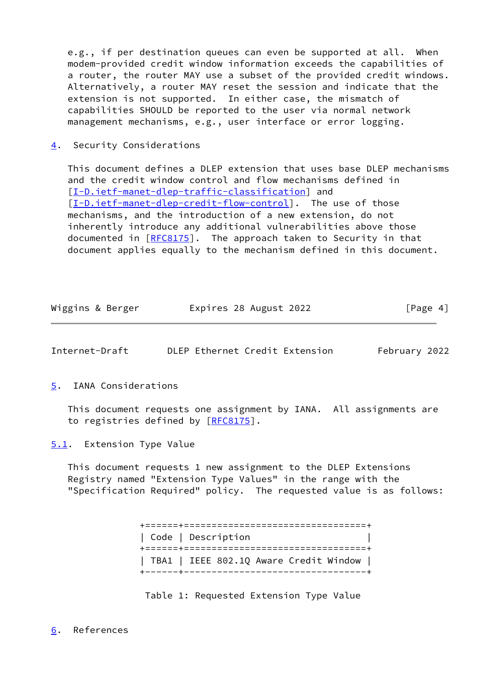e.g., if per destination queues can even be supported at all. When modem-provided credit window information exceeds the capabilities of a router, the router MAY use a subset of the provided credit windows. Alternatively, a router MAY reset the session and indicate that the extension is not supported. In either case, the mismatch of capabilities SHOULD be reported to the user via normal network management mechanisms, e.g., user interface or error logging.

<span id="page-4-0"></span>[4](#page-4-0). Security Considerations

 This document defines a DLEP extension that uses base DLEP mechanisms and the credit window control and flow mechanisms defined in [\[I-D.ietf-manet-dlep-traffic-classification\]](#page-5-3) and [\[I-D.ietf-manet-dlep-credit-flow-control](#page-5-4)]. The use of those mechanisms, and the introduction of a new extension, do not inherently introduce any additional vulnerabilities above those documented in [[RFC8175](https://datatracker.ietf.org/doc/pdf/rfc8175)]. The approach taken to Security in that document applies equally to the mechanism defined in this document.

| Wiggins & Berger | Expires 28 August 2022 | [Page 4] |
|------------------|------------------------|----------|
|------------------|------------------------|----------|

<span id="page-4-2"></span>

| Internet-Draft |  |  |  | DLEP Ethernet Credit Extension | February 2022 |  |
|----------------|--|--|--|--------------------------------|---------------|--|
|----------------|--|--|--|--------------------------------|---------------|--|

<span id="page-4-1"></span>[5](#page-4-1). IANA Considerations

 This document requests one assignment by IANA. All assignments are to registries defined by [\[RFC8175](https://datatracker.ietf.org/doc/pdf/rfc8175)].

<span id="page-4-3"></span>[5.1](#page-4-3). Extension Type Value

 This document requests 1 new assignment to the DLEP Extensions Registry named "Extension Type Values" in the range with the "Specification Required" policy. The requested value is as follows:

> +======+=================================+ | Code | Description | +======+=================================+ | TBA1 | IEEE 802.1Q Aware Credit Window | +------+---------------------------------+

<span id="page-4-4"></span>Table 1: Requested Extension Type Value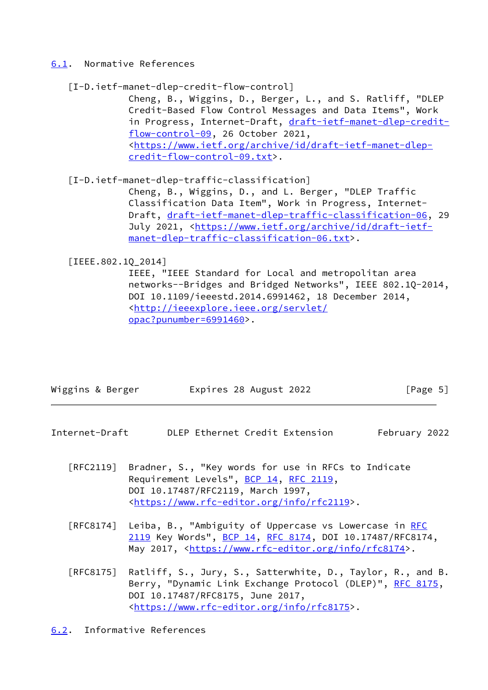### <span id="page-5-0"></span>[6.1](#page-5-0). Normative References

### <span id="page-5-4"></span>[I-D.ietf-manet-dlep-credit-flow-control]

 Cheng, B., Wiggins, D., Berger, L., and S. Ratliff, "DLEP Credit-Based Flow Control Messages and Data Items", Work in Progress, Internet-Draft, [draft-ietf-manet-dlep-credit](https://datatracker.ietf.org/doc/pdf/draft-ietf-manet-dlep-credit-flow-control-09) [flow-control-09](https://datatracker.ietf.org/doc/pdf/draft-ietf-manet-dlep-credit-flow-control-09), 26 October 2021, <[https://www.ietf.org/archive/id/draft-ietf-manet-dlep](https://www.ietf.org/archive/id/draft-ietf-manet-dlep-credit-flow-control-09.txt) [credit-flow-control-09.txt>](https://www.ietf.org/archive/id/draft-ietf-manet-dlep-credit-flow-control-09.txt).

## <span id="page-5-3"></span>[I-D.ietf-manet-dlep-traffic-classification]

 Cheng, B., Wiggins, D., and L. Berger, "DLEP Traffic Classification Data Item", Work in Progress, Internet- Draft, [draft-ietf-manet-dlep-traffic-classification-06](https://datatracker.ietf.org/doc/pdf/draft-ietf-manet-dlep-traffic-classification-06), 29 July 2021, <[https://www.ietf.org/archive/id/draft-ietf](https://www.ietf.org/archive/id/draft-ietf-manet-dlep-traffic-classification-06.txt) [manet-dlep-traffic-classification-06.txt>](https://www.ietf.org/archive/id/draft-ietf-manet-dlep-traffic-classification-06.txt).

### <span id="page-5-5"></span>[IEEE.802.1Q\_2014]

 IEEE, "IEEE Standard for Local and metropolitan area networks--Bridges and Bridged Networks", IEEE 802.1Q-2014, DOI 10.1109/ieeestd.2014.6991462, 18 December 2014, <[http://ieeexplore.ieee.org/servlet/](http://ieeexplore.ieee.org/servlet/opac?punumber=6991460) [opac?punumber=6991460>](http://ieeexplore.ieee.org/servlet/opac?punumber=6991460).

| Wiggins & Berger | Expires 28 August 2022 | [Page 5] |
|------------------|------------------------|----------|
|                  |                        |          |

### <span id="page-5-2"></span>Internet-Draft DLEP Ethernet Credit Extension February 2022

- [RFC2119] Bradner, S., "Key words for use in RFCs to Indicate Requirement Levels", [BCP 14](https://datatracker.ietf.org/doc/pdf/bcp14), [RFC 2119](https://datatracker.ietf.org/doc/pdf/rfc2119), DOI 10.17487/RFC2119, March 1997, <[https://www.rfc-editor.org/info/rfc2119>](https://www.rfc-editor.org/info/rfc2119).
- [RFC8174] Leiba, B., "Ambiguity of Uppercase vs Lowercase in [RFC](https://datatracker.ietf.org/doc/pdf/rfc2119) [2119](https://datatracker.ietf.org/doc/pdf/rfc2119) Key Words", [BCP 14](https://datatracker.ietf.org/doc/pdf/bcp14), [RFC 8174,](https://datatracker.ietf.org/doc/pdf/rfc8174) DOI 10.17487/RFC8174, May 2017, [<https://www.rfc-editor.org/info/rfc8174](https://www.rfc-editor.org/info/rfc8174)>.
- [RFC8175] Ratliff, S., Jury, S., Satterwhite, D., Taylor, R., and B. Berry, "Dynamic Link Exchange Protocol (DLEP)", [RFC 8175,](https://datatracker.ietf.org/doc/pdf/rfc8175) DOI 10.17487/RFC8175, June 2017, <[https://www.rfc-editor.org/info/rfc8175>](https://www.rfc-editor.org/info/rfc8175).

# <span id="page-5-1"></span>[6.2](#page-5-1). Informative References